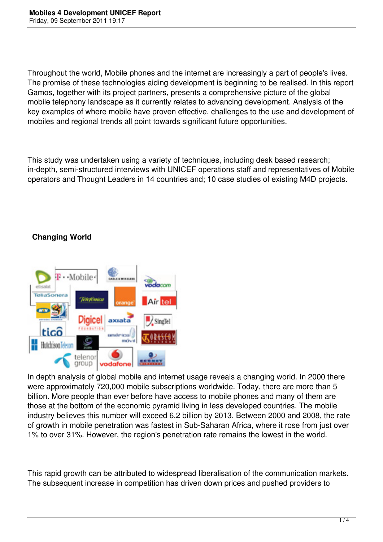Throughout the world, Mobile phones and the internet are increasingly a part of people's lives. The promise of these technologies aiding development is beginning to be realised. In this report Gamos, together with its project partners, presents a comprehensive picture of the global mobile telephony landscape as it currently relates to advancing development. Analysis of the key examples of where mobile have proven effective, challenges to the use and development of mobiles and regional trends all point towards significant future opportunities.

This study was undertaken using a variety of techniques, including desk based research; in-depth, semi-structured interviews with UNICEF operations staff and representatives of Mobile operators and Thought Leaders in 14 countries and; 10 case studies of existing M4D projects.

# **Changing World**



In depth analysis of global mobile and internet usage reveals a changing world. In 2000 there were approximately 720,000 mobile subscriptions worldwide. Today, there are more than 5 billion. More people than ever before have access to mobile phones and many of them are those at the bottom of the economic pyramid living in less developed countries. The mobile industry believes this number will exceed 6.2 billion by 2013. Between 2000 and 2008, the rate of growth in mobile penetration was fastest in Sub-Saharan Africa, where it rose from just over 1% to over 31%. However, the region's penetration rate remains the lowest in the world.

This rapid growth can be attributed to widespread liberalisation of the communication markets. The subsequent increase in competition has driven down prices and pushed providers to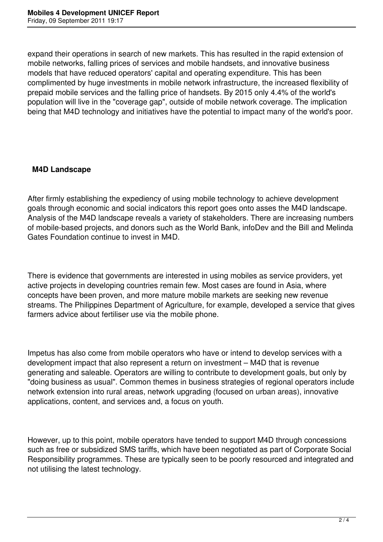expand their operations in search of new markets. This has resulted in the rapid extension of mobile networks, falling prices of services and mobile handsets, and innovative business models that have reduced operators' capital and operating expenditure. This has been complimented by huge investments in mobile network infrastructure, the increased flexibility of prepaid mobile services and the falling price of handsets. By 2015 only 4.4% of the world's population will live in the "coverage gap", outside of mobile network coverage. The implication being that M4D technology and initiatives have the potential to impact many of the world's poor.

#### **M4D Landscape**

After firmly establishing the expediency of using mobile technology to achieve development goals through economic and social indicators this report goes onto asses the M4D landscape. Analysis of the M4D landscape reveals a variety of stakeholders. There are increasing numbers of mobile-based projects, and donors such as the World Bank, infoDev and the Bill and Melinda Gates Foundation continue to invest in M4D.

There is evidence that governments are interested in using mobiles as service providers, yet active projects in developing countries remain few. Most cases are found in Asia, where concepts have been proven, and more mature mobile markets are seeking new revenue streams. The Philippines Department of Agriculture, for example, developed a service that gives farmers advice about fertiliser use via the mobile phone.

Impetus has also come from mobile operators who have or intend to develop services with a development impact that also represent a return on investment – M4D that is revenue generating and saleable. Operators are willing to contribute to development goals, but only by "doing business as usual". Common themes in business strategies of regional operators include network extension into rural areas, network upgrading (focused on urban areas), innovative applications, content, and services and, a focus on youth.

However, up to this point, mobile operators have tended to support M4D through concessions such as free or subsidized SMS tariffs, which have been negotiated as part of Corporate Social Responsibility programmes. These are typically seen to be poorly resourced and integrated and not utilising the latest technology.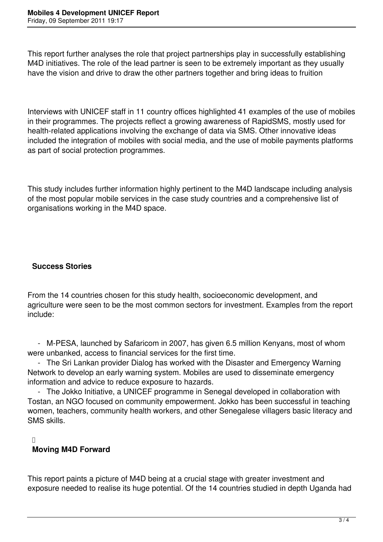This report further analyses the role that project partnerships play in successfully establishing M4D initiatives. The role of the lead partner is seen to be extremely important as they usually have the vision and drive to draw the other partners together and bring ideas to fruition

Interviews with UNICEF staff in 11 country offices highlighted 41 examples of the use of mobiles in their programmes. The projects reflect a growing awareness of RapidSMS, mostly used for health-related applications involving the exchange of data via SMS. Other innovative ideas included the integration of mobiles with social media, and the use of mobile payments platforms as part of social protection programmes.

This study includes further information highly pertinent to the M4D landscape including analysis of the most popular mobile services in the case study countries and a comprehensive list of organisations working in the M4D space.

### **Success Stories**

From the 14 countries chosen for this study health, socioeconomic development, and agriculture were seen to be the most common sectors for investment. Examples from the report include:

 - M-PESA, launched by Safaricom in 2007, has given 6.5 million Kenyans, most of whom were unbanked, access to financial services for the first time.

 - The Sri Lankan provider Dialog has worked with the Disaster and Emergency Warning Network to develop an early warning system. Mobiles are used to disseminate emergency information and advice to reduce exposure to hazards.

 - The Jokko Initiative, a UNICEF programme in Senegal developed in collaboration with Tostan, an NGO focused on community empowerment. Jokko has been successful in teaching women, teachers, community health workers, and other Senegalese villagers basic literacy and SMS skills.

 $\Box$ 

### **Moving M4D Forward**

This report paints a picture of M4D being at a crucial stage with greater investment and exposure needed to realise its huge potential. Of the 14 countries studied in depth Uganda had